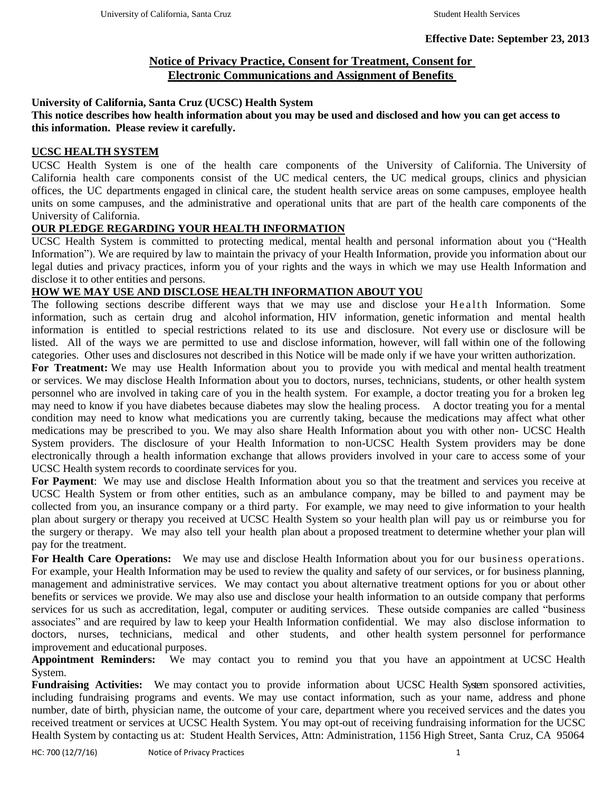# **Notice of Privacy Practice, Consent for Treatment, Consent for Electronic Communications and Assignment of Benefits**

## **University of California, Santa Cruz (UCSC) Health System**

## **This notice describes how health information about you may be used and disclosed and how you can get access to this information. Please review it carefully.**

## **UCSC HEALTH SYSTEM**

UCSC Health System is one of the health care components of the University of California. The University of California health care components consist of the UC medical centers, the UC medical groups, clinics and physician offices, the UC departments engaged in clinical care, the student health service areas on some campuses, employee health units on some campuses, and the administrative and operational units that are part of the health care components of the University of California.

## **OUR PLEDGE REGARDING YOUR HEALTH INFORMATION**

UCSC Health System is committed to protecting medical, mental health and personal information about you ("Health Information"). We are required by law to maintain the privacy of your Health Information, provide you information about our legal duties and privacy practices, inform you of your rights and the ways in which we may use Health Information and disclose it to other entities and persons.

# **HOW WE MAY USE AND DISCLOSE HEALTH INFORMATION ABOUT YOU**

The following sections describe different ways that we may use and disclose your Health Information. Some information, such as certain drug and alcohol information, HIV information, genetic information and mental health information is entitled to special restrictions related to its use and disclosure. Not every use or disclosure will be listed. All of the ways we are permitted to use and disclose information, however, will fall within one of the following categories. Other uses and disclosures not described in this Notice will be made only if we have your written authorization.

**For Treatment:** We may use Health Information about you to provide you with medical and mental health treatment or services. We may disclose Health Information about you to doctors, nurses, technicians, students, or other health system personnel who are involved in taking care of you in the health system. For example, a doctor treating you for a broken leg may need to know if you have diabetes because diabetes may slow the healing process. A doctor treating you for a mental condition may need to know what medications you are currently taking, because the medications may affect what other medications may be prescribed to you. We may also share Health Information about you with other non- UCSC Health System providers. The disclosure of your Health Information to non-UCSC Health System providers may be done electronically through a health information exchange that allows providers involved in your care to access some of your UCSC Health system records to coordinate services for you.

**For Payment**: We may use and disclose Health Information about you so that the treatment and services you receive at UCSC Health System or from other entities, such as an ambulance company, may be billed to and payment may be collected from you, an insurance company or a third party. For example, we may need to give information to your health plan about surgery or therapy you received at UCSC Health System so your health plan will pay us or reimburse you for the surgery or therapy. We may also tell your health plan about a proposed treatment to determine whether your plan will pay for the treatment.

**For Health Care Operations:** We may use and disclose Health Information about you for our business operations. For example, your Health Information may be used to review the quality and safety of our services, or for business planning, management and administrative services. We may contact you about alternative treatment options for you or about other benefits or services we provide. We may also use and disclose your health information to an outside company that performs services for us such as accreditation, legal, computer or auditing services. These outside companies are called "business associates" and are required by law to keep your Health Information confidential. We may also disclose information to doctors, nurses, technicians, medical and other students, and other health system personnel for performance improvement and educational purposes.

**Appointment Reminders:** We may contact you to remind you that you have an appointment at UCSC Health System.

**Fundraising Activities:** We may contact you to provide information about UCSC Health System sponsored activities, including fundraising programs and events. We may use contact information, such as your name, address and phone number, date of birth, physician name, the outcome of your care, department where you received services and the dates you received treatment or services at UCSC Health System. You may opt-out of receiving fundraising information for the UCSC Health System by contacting us at: Student Health Services, Attn: Administration, 1156 High Street, Santa Cruz, CA 95064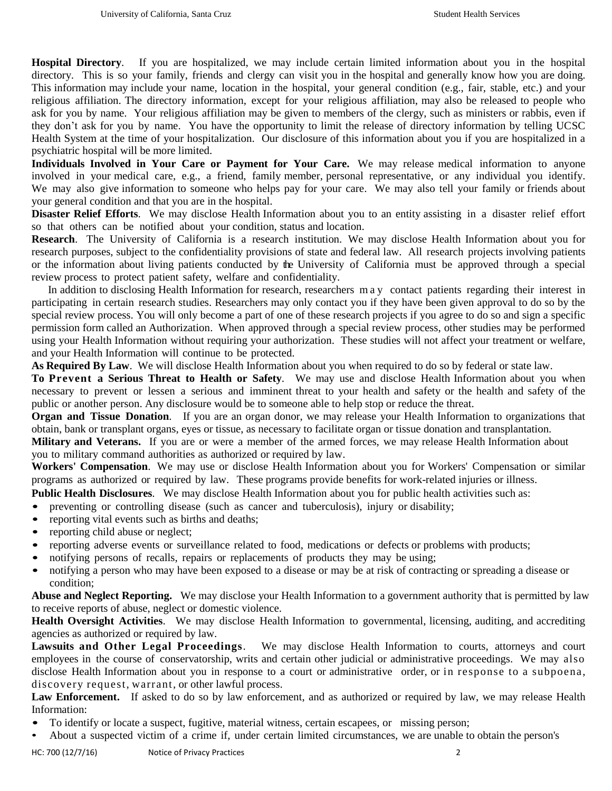**Hospital Directory**. If you are hospitalized, we may include certain limited information about you in the hospital directory. This is so your family, friends and clergy can visit you in the hospital and generally know how you are doing. This information may include your name, location in the hospital, your general condition (e.g., fair, stable, etc.) and your religious affiliation. The directory information, except for your religious affiliation, may also be released to people who ask for you by name. Your religious affiliation may be given to members of the clergy, such as ministers or rabbis, even if they don't ask for you by name. You have the opportunity to limit the release of directory information by telling UCSC Health System at the time of your hospitalization. Our disclosure of this information about you if you are hospitalized in a psychiatric hospital will be more limited.

**Individuals Involved in Your Care or Payment for Your Care.** We may release medical information to anyone involved in your medical care, e.g., a friend, family member, personal representative, or any individual you identify. We may also give information to someone who helps pay for your care. We may also tell your family or friends about your general condition and that you are in the hospital.

**Disaster Relief Efforts**. We may disclose Health Information about you to an entity assisting in a disaster relief effort so that others can be notified about your condition, status and location.

**Research**. The University of California is a research institution. We may disclose Health Information about you for research purposes, subject to the confidentiality provisions of state and federal law. All research projects involving patients or the information about living patients conducted by the University of California must be approved through a special review process to protect patient safety, welfare and confidentiality.

 In addition to disclosing Health Information for research, researchers m a y contact patients regarding their interest in participating in certain research studies. Researchers may only contact you if they have been given approval to do so by the special review process. You will only become a part of one of these research projects if you agree to do so and sign a specific permission form called an Authorization. When approved through a special review process, other studies may be performed using your Health Information without requiring your authorization. These studies will not affect your treatment or welfare, and your Health Information will continue to be protected.

**As Required By Law**. We will disclose Health Information about you when required to do so by federal or state law.

**To Prevent a Serious Threat to Health or Safety**. We may use and disclose Health Information about you when necessary to prevent or lessen a serious and imminent threat to your health and safety or the health and safety of the public or another person. Any disclosure would be to someone able to help stop or reduce the threat.

**Organ and Tissue Donation**. If you are an organ donor, we may release your Health Information to organizations that obtain, bank or transplant organs, eyes or tissue, as necessary to facilitate organ or tissue donation and transplantation.

**Military and Veterans.** If you are or were a member of the armed forces, we may release Health Information about you to military command authorities as authorized or required by law.

**Workers' Compensation**. We may use or disclose Health Information about you for Workers' Compensation or similar programs as authorized or required by law. These programs provide benefits for work-related injuries or illness.

**Public Health Disclosures**. We may disclose Health Information about you for public health activities such as:

• preventing or controlling disease (such as cancer and tuberculosis), injury or disability;

- reporting vital events such as births and deaths;
- reporting child abuse or neglect;
- reporting adverse events or surveillance related to food, medications or defects or problems with products;
- notifying persons of recalls, repairs or replacements of products they may be using;<br>• notifying a person who may have been exposed to a disease or may be at risk of contrad
- notifying a person who may have been exposed to a disease or may be at risk of contracting or spreading a disease or condition;

**Abuse and Neglect Reporting.** We may disclose your Health Information to a government authority that is permitted by law to receive reports of abuse, neglect or domestic violence.

**Health Oversight Activities**. We may disclose Health Information to governmental, licensing, auditing, and accrediting agencies as authorized or required by law.

**Lawsuits and Other Legal Proceedings**. We may disclose Health Information to courts, attorneys and court employees in the course of conservatorship, writs and certain other judicial or administrative proceedings. We may also disclose Health Information about you in response to a court or administrative order, or in response to a subpoena, discovery request, warrant, or other lawful process.

**Law Enforcement.** If asked to do so by law enforcement, and as authorized or required by law, we may release Health Information:

- To identify or locate a suspect, fugitive, material witness, certain escapees, or missing person;
- About a suspected victim of a crime if, under certain limited circumstances, we are unable to obtain the person's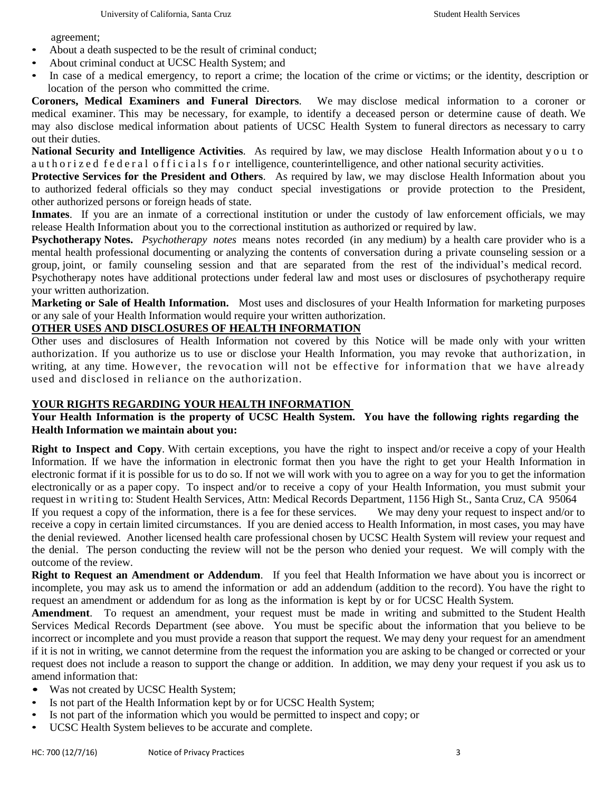agreement;

- About a death suspected to be the result of criminal conduct;
- About criminal conduct at UCSC Health System; and
- In case of a medical emergency, to report a crime; the location of the crime or victims; or the identity, description or location of the person who committed the crime.

**Coroners, Medical Examiners and Funeral Directors**. We may disclose medical information to a coroner or medical examiner. This may be necessary, for example, to identify a deceased person or determine cause of death. We may also disclose medical information about patients of UCSC Health System to funeral directors as necessary to carry out their duties.

**National Security and Intelligence Activities**. As required by law, we may disclose Health Information about y o u t o au thorized federal officials for intelligence, counterintelligence, and other national security activities.

**Protective Services for the President and Others**. As required by law, we may disclose Health Information about you to authorized federal officials so they may conduct special investigations or provide protection to the President, other authorized persons or foreign heads of state.

**Inmates**. If you are an inmate of a correctional institution or under the custody of law enforcement officials, we may release Health Information about you to the correctional institution as authorized or required by law.

**Psychotherapy Notes.** *Psychotherapy notes* means notes recorded (in any medium) by a health care provider who is a mental health professional documenting or analyzing the contents of conversation during a private counseling session or a group, joint, or family counseling session and that are separated from the rest of the individual's medical record. Psychotherapy notes have additional protections under federal law and most uses or disclosures of psychotherapy require your written authorization.

**Marketing or Sale of Health Information.** Most uses and disclosures of your Health Information for marketing purposes or any sale of your Health Information would require your written authorization.

#### **OTHER USES AND DISCLOSURES OF HEALTH INFORMATION**

Other uses and disclosures of Health Information not covered by this Notice will be made only with your written authorization. If you authorize us to use or disclose your Health Information, you may revoke that authorization, in writing, at any time. However, the revocation will not be effective for information that we have already used and disclosed in reliance on the authorization.

#### **YOUR RIGHTS REGARDING YOUR HEALTH INFORMATION**

## **Your Health Information is the property of UCSC Health System. You have the following rights regarding the Health Information we maintain about you:**

**Right to Inspect and Copy**. With certain exceptions, you have the right to inspect and/or receive a copy of your Health Information. If we have the information in electronic format then you have the right to get your Health Information in electronic format if it is possible for us to do so. If not we will work with you to agree on a way for you to get the information electronically or as a paper copy. To inspect and/or to receive a copy of your Health Information, you must submit your request in writing to: Student Health Services, Attn: Medical Records Department, 1156 High St., Santa Cruz, CA 95064 If you request a copy of the information, there is a fee for these services. We may deny your request to inspect and/or to

receive a copy in certain limited circumstances. If you are denied access to Health Information, in most cases, you may have the denial reviewed. Another licensed health care professional chosen by UCSC Health System will review your request and the denial. The person conducting the review will not be the person who denied your request. We will comply with the outcome of the review.

**Right to Request an Amendment or Addendum**. If you feel that Health Information we have about you is incorrect or incomplete, you may ask us to amend the information or add an addendum (addition to the record). You have the right to request an amendment or addendum for as long as the information is kept by or for UCSC Health System.

**Amendment**. To request an amendment, your request must be made in writing and submitted to the Student Health Services Medical Records Department (see above. You must be specific about the information that you believe to be incorrect or incomplete and you must provide a reason that support the request. We may deny your request for an amendment if it is not in writing, we cannot determine from the request the information you are asking to be changed or corrected or your request does not include a reason to support the change or addition. In addition, we may deny your request if you ask us to amend information that:

- Was not created by UCSC Health System;
- Is not part of the Health Information kept by or for UCSC Health System;
- Is not part of the information which you would be permitted to inspect and copy; or
- UCSC Health System believes to be accurate and complete.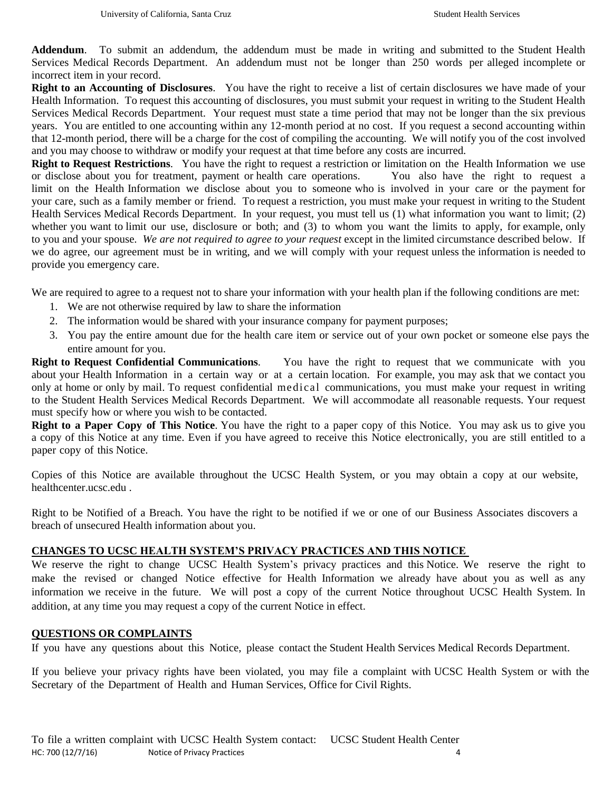**Addendum**. To submit an addendum, the addendum must be made in writing and submitted to the Student Health Services Medical Records Department. An addendum must not be longer than 250 words per alleged incomplete or incorrect item in your record.

**Right to an Accounting of Disclosures**. You have the right to receive a list of certain disclosures we have made of your Health Information. To request this accounting of disclosures, you must submit your request in writing to the Student Health Services Medical Records Department. Your request must state a time period that may not be longer than the six previous years. You are entitled to one accounting within any 12-month period at no cost. If you request a second accounting within that 12-month period, there will be a charge for the cost of compiling the accounting. We will notify you of the cost involved and you may choose to withdraw or modify your request at that time before any costs are incurred.

**Right to Request Restrictions**. You have the right to request a restriction or limitation on the Health Information we use or disclose about you for treatment, payment or health care operations. You also have the right to request a limit on the Health Information we disclose about you to someone who is involved in your care or the payment for your care, such as a family member or friend. To request a restriction, you must make your request in writing to the Student Health Services Medical Records Department. In your request, you must tell us (1) what information you want to limit; (2) whether you want to limit our use, disclosure or both; and (3) to whom you want the limits to apply, for example, only to you and your spouse. *We are not required to agree to your request* except in the limited circumstance described below. If we do agree, our agreement must be in writing, and we will comply with your request unless the information is needed to provide you emergency care.

We are required to agree to a request not to share your information with your health plan if the following conditions are met:

- 1. We are not otherwise required by law to share the information
- 2. The information would be shared with your insurance company for payment purposes;
- 3. You pay the entire amount due for the health care item or service out of your own pocket or someone else pays the entire amount for you.

**Right to Request Confidential Communications**. You have the right to request that we communicate with you about your Health Information in a certain way or at a certain location. For example, you may ask that we contact you only at home or only by mail. To request confidential medical communications, you must make your request in writing to the Student Health Services Medical Records Department. We will accommodate all reasonable requests. Your request must specify how or where you wish to be contacted.

**Right to a Paper Copy of This Notice**. You have the right to a paper copy of this Notice. You may ask us to give you a copy of this Notice at any time. Even if you have agreed to receive this Notice electronically, you are still entitled to a paper copy of this Notice.

Copies of this Notice are available throughout the UCSC Health System, or you may obtain a copy at our website, healthcenter.ucsc.edu .

Right to be Notified of a Breach. You have the right to be notified if we or one of our Business Associates discovers a breach of unsecured Health information about you.

#### **CHANGES TO UCSC HEALTH SYSTEM'S PRIVACY PRACTICES AND THIS NOTICE**

We reserve the right to change UCSC Health System's privacy practices and this Notice. We reserve the right to make the revised or changed Notice effective for Health Information we already have about you as well as any information we receive in the future. We will post a copy of the current Notice throughout UCSC Health System. In addition, at any time you may request a copy of the current Notice in effect.

#### **QUESTIONS OR COMPLAINTS**

If you have any questions about this Notice, please contact the Student Health Services Medical Records Department.

If you believe your privacy rights have been violated, you may file a complaint with UCSC Health System or with the Secretary of the Department of Health and Human Services, Office for Civil Rights.